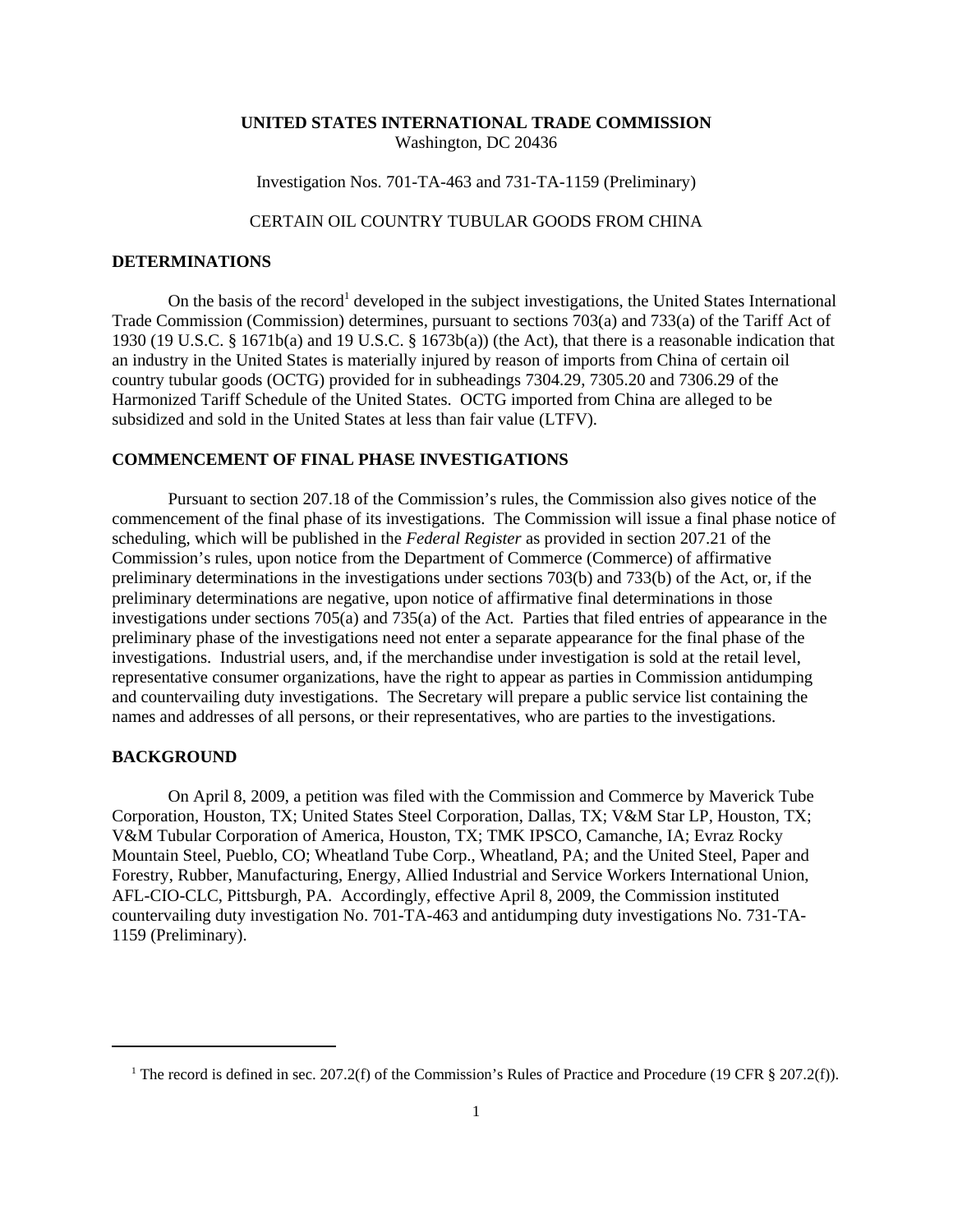#### **UNITED STATES INTERNATIONAL TRADE COMMISSION** Washington, DC 20436

Investigation Nos. 701-TA-463 and 731-TA-1159 (Preliminary)

# CERTAIN OIL COUNTRY TUBULAR GOODS FROM CHINA

## **DETERMINATIONS**

On the basis of the record<sup>1</sup> developed in the subject investigations, the United States International Trade Commission (Commission) determines, pursuant to sections 703(a) and 733(a) of the Tariff Act of 1930 (19 U.S.C. § 1671b(a) and 19 U.S.C. § 1673b(a)) (the Act), that there is a reasonable indication that an industry in the United States is materially injured by reason of imports from China of certain oil country tubular goods (OCTG) provided for in subheadings 7304.29, 7305.20 and 7306.29 of the Harmonized Tariff Schedule of the United States. OCTG imported from China are alleged to be subsidized and sold in the United States at less than fair value (LTFV).

## **COMMENCEMENT OF FINAL PHASE INVESTIGATIONS**

Pursuant to section 207.18 of the Commission's rules, the Commission also gives notice of the commencement of the final phase of its investigations. The Commission will issue a final phase notice of scheduling, which will be published in the *Federal Register* as provided in section 207.21 of the Commission's rules, upon notice from the Department of Commerce (Commerce) of affirmative preliminary determinations in the investigations under sections 703(b) and 733(b) of the Act, or, if the preliminary determinations are negative, upon notice of affirmative final determinations in those investigations under sections 705(a) and 735(a) of the Act. Parties that filed entries of appearance in the preliminary phase of the investigations need not enter a separate appearance for the final phase of the investigations. Industrial users, and, if the merchandise under investigation is sold at the retail level, representative consumer organizations, have the right to appear as parties in Commission antidumping and countervailing duty investigations. The Secretary will prepare a public service list containing the names and addresses of all persons, or their representatives, who are parties to the investigations.

#### **BACKGROUND**

On April 8, 2009, a petition was filed with the Commission and Commerce by Maverick Tube Corporation, Houston, TX; United States Steel Corporation, Dallas, TX; V&M Star LP, Houston, TX; V&M Tubular Corporation of America, Houston, TX; TMK IPSCO, Camanche, IA; Evraz Rocky Mountain Steel, Pueblo, CO; Wheatland Tube Corp., Wheatland, PA; and the United Steel, Paper and Forestry, Rubber, Manufacturing, Energy, Allied Industrial and Service Workers International Union, AFL-CIO-CLC, Pittsburgh, PA. Accordingly, effective April 8, 2009, the Commission instituted countervailing duty investigation No. 701-TA-463 and antidumping duty investigations No. 731-TA-1159 (Preliminary).

<sup>&</sup>lt;sup>1</sup> The record is defined in sec. 207.2(f) of the Commission's Rules of Practice and Procedure (19 CFR § 207.2(f)).